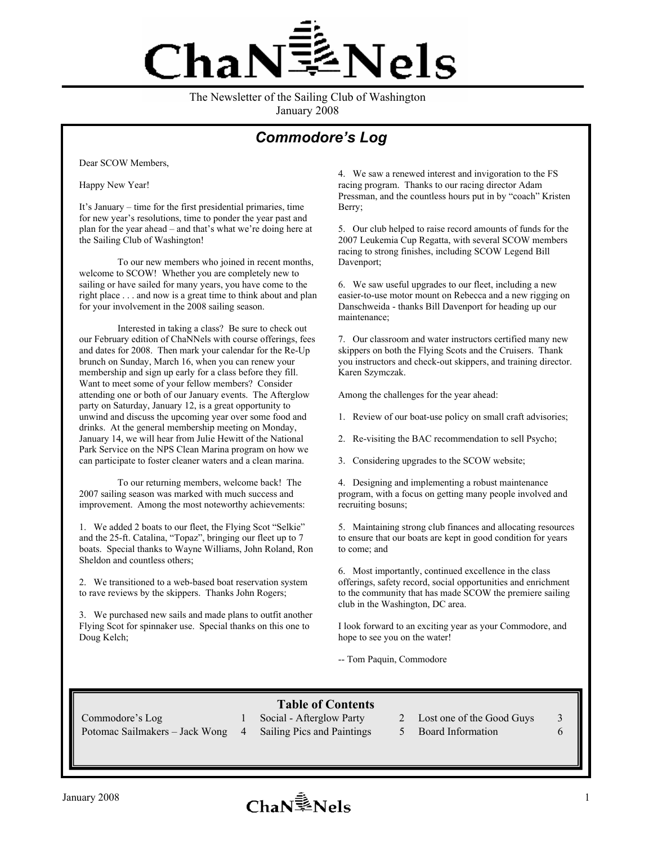# 逢Nels haN

The Newsletter of the Sailing Club of Washington January 2008

## *Commodore's Log*

Dear SCOW Members,

Happy New Year!

It's January – time for the first presidential primaries, time for new year's resolutions, time to ponder the year past and plan for the year ahead – and that's what we're doing here at the Sailing Club of Washington!

To our new members who joined in recent months, welcome to SCOW! Whether you are completely new to sailing or have sailed for many years, you have come to the right place . . . and now is a great time to think about and plan for your involvement in the 2008 sailing season.

Interested in taking a class? Be sure to check out our February edition of ChaNNels with course offerings, fees and dates for 2008. Then mark your calendar for the Re-Up brunch on Sunday, March 16, when you can renew your membership and sign up early for a class before they fill. Want to meet some of your fellow members? Consider attending one or both of our January events. The Afterglow party on Saturday, January 12, is a great opportunity to unwind and discuss the upcoming year over some food and drinks. At the general membership meeting on Monday, January 14, we will hear from Julie Hewitt of the National Park Service on the NPS Clean Marina program on how we can participate to foster cleaner waters and a clean marina.

To our returning members, welcome back! The 2007 sailing season was marked with much success and improvement. Among the most noteworthy achievements:

1. We added 2 boats to our fleet, the Flying Scot "Selkie" and the 25-ft. Catalina, "Topaz", bringing our fleet up to 7 boats. Special thanks to Wayne Williams, John Roland, Ron Sheldon and countless others;

2. We transitioned to a web-based boat reservation system to rave reviews by the skippers. Thanks John Rogers;

3. We purchased new sails and made plans to outfit another Flying Scot for spinnaker use. Special thanks on this one to Doug Kelch;

4. We saw a renewed interest and invigoration to the FS racing program. Thanks to our racing director Adam Pressman, and the countless hours put in by "coach" Kristen Berry;

5. Our club helped to raise record amounts of funds for the 2007 Leukemia Cup Regatta, with several SCOW members racing to strong finishes, including SCOW Legend Bill Davenport;

6. We saw useful upgrades to our fleet, including a new easier-to-use motor mount on Rebecca and a new rigging on Danschweida - thanks Bill Davenport for heading up our maintenance;

7. Our classroom and water instructors certified many new skippers on both the Flying Scots and the Cruisers. Thank you instructors and check-out skippers, and training director. Karen Szymczak.

Among the challenges for the year ahead:

- 1. Review of our boat-use policy on small craft advisories;
- 2. Re-visiting the BAC recommendation to sell Psycho;
- 3. Considering upgrades to the SCOW website;

4. Designing and implementing a robust maintenance program, with a focus on getting many people involved and recruiting bosuns;

5. Maintaining strong club finances and allocating resources to ensure that our boats are kept in good condition for years to come; and

6. Most importantly, continued excellence in the class offerings, safety record, social opportunities and enrichment to the community that has made SCOW the premiere sailing club in the Washington, DC area.

I look forward to an exciting year as your Commodore, and hope to see you on the water!

-- Tom Paquin, Commodore

#### **Table of Contents**

Potomac Sailmakers – Jack Wong 4 Sailing Pics and Paintings 5 Board Information 6

- 
- Commodore's Log 1 Social Afterglow Party 2 Lost one of the Good Guys 3
	-

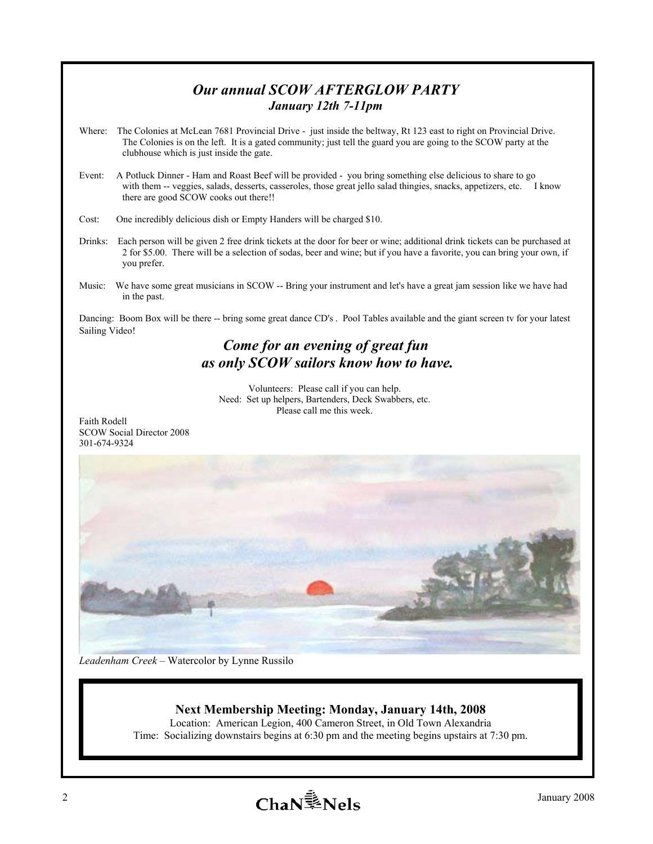### *Our annual SCOW AFTERGLOW PARTY January 12th 7-11pm*

- Where: The Colonies at McLean 7681 Provincial Drive just inside the beltway, Rt 123 east to right on Provincial Drive. The Colonies is on the left. It is a gated community; just tell the guard you are going to the SCOW party at the clubhouse which is just inside the gate.
- Event: A Potluck Dinner Ham and Roast Beef will be provided you bring something else delicious to share to go with them -- veggies, salads, desserts, casseroles, those great jello salad thingies, snacks, appetizers, etc. I know there are good SCOW cooks out there!!
- Cost: One incredibly delicious dish or Empty Handers will be charged \$10.
- Drinks: Each person will be given 2 free drink tickets at the door for beer or wine; additional drink tickets can be purchased at 2 for \$5.00. There will be a selection of sodas, beer and wine; but if you have a favorite, you can bring your own, if you prefer.
- Music: We have some great musicians in SCOW -- Bring your instrument and let's have a great jam session like we have had in the past.

Dancing: Boom Box will be there -- bring some great dance CD's . Pool Tables available and the giant screen tv for your latest Sailing Video!

# *Come for an evening of great fun as only SCOW sailors know how to have.*

Volunteers: Please call if you can help. Need: Set up helpers, Bartenders, Deck Swabbers, etc. Please call me this week.

Faith Rodell SCOW Social Director 2008 301-674-9324



*Leadenham Creek* – Watercolor by Lynne Russilo

#### **Next Membership Meeting: Monday, January 14th, 2008**

Location: American Legion, 400 Cameron Street, in Old Town Alexandria Time: Socializing downstairs begins at 6:30 pm and the meeting begins upstairs at 7:30 pm.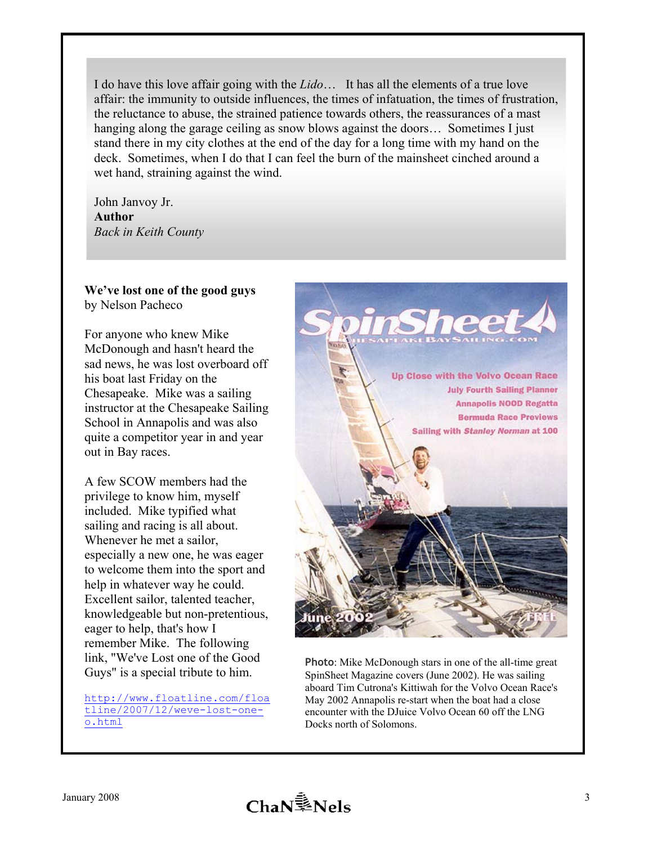I do have this love affair going with the *Lido*… It has all the elements of a true love affair: the immunity to outside influences, the times of infatuation, the times of frustration, the reluctance to abuse, the strained patience towards others, the reassurances of a mast hanging along the garage ceiling as snow blows against the doors... Sometimes I just stand there in my city clothes at the end of the day for a long time with my hand on the deck. Sometimes, when I do that I can feel the burn of the mainsheet cinched around a wet hand, straining against the wind.

John Janvoy Jr. **Author**  *Back in Keith County* 

#### **We've lost one of the good guys**  by Nelson Pacheco

For anyone who knew Mike McDonough and hasn't heard the sad news, he was lost overboard off his boat last Friday on the Chesapeake. Mike was a sailing instructor at the Chesapeake Sailing School in Annapolis and was also quite a competitor year in and year out in Bay races.

A few SCOW members had the privilege to know him, myself included. Mike typified what sailing and racing is all about. Whenever he met a sailor, especially a new one, he was eager to welcome them into the sport and help in whatever way he could. Excellent sailor, talented teacher, knowledgeable but non-pretentious, eager to help, that's how I remember Mike. The following link, "We've Lost one of the Good Guys" is a special tribute to him.

http://www.floatline.com/floa tline/2007/12/weve-lost-oneo.html



**Photo**: Mike McDonough stars in one of the all-time great SpinSheet Magazine covers (June 2002). He was sailing aboard Tim Cutrona's Kittiwah for the Volvo Ocean Race's May 2002 Annapolis re-start when the boat had a close encounter with the DJuice Volvo Ocean 60 off the LNG Docks north of Solomons.

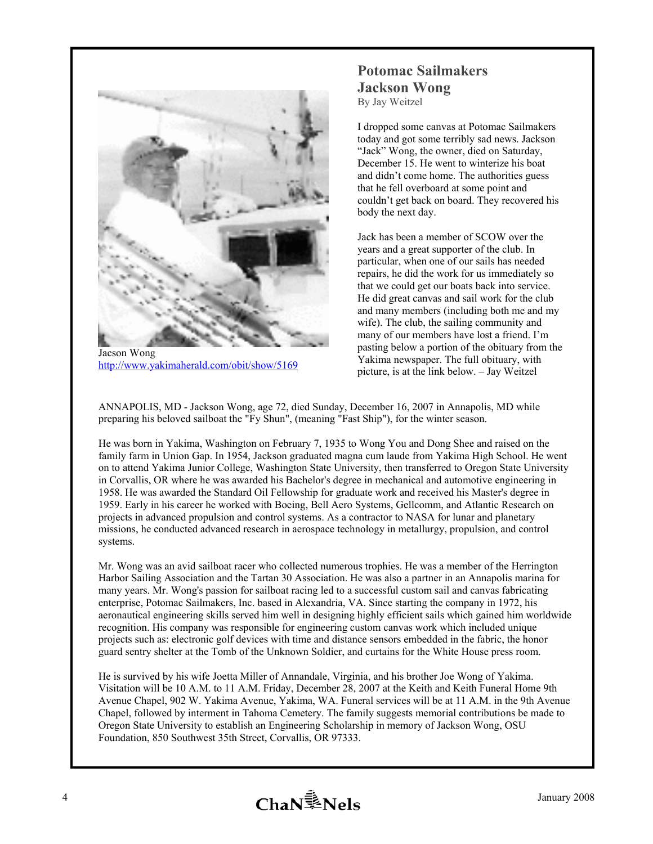

 http://www.yakimaherald.com/obit/show/5169 Jacson Wong

# **Potomac Sailmakers Jackson Wong**

By Jay Weitzel

I dropped some canvas at Potomac Sailmakers today and got some terribly sad news. Jackson "Jack" Wong, the owner, died on Saturday, December 15. He went to winterize his boat and didn't come home. The authorities guess that he fell overboard at some point and couldn't get back on board. They recovered his body the next day.

Jack has been a member of SCOW over the years and a great supporter of the club. In particular, when one of our sails has needed repairs, he did the work for us immediately so that we could get our boats back into service. He did great canvas and sail work for the club and many members (including both me and my wife). The club, the sailing community and many of our members have lost a friend. I'm pasting below a portion of the obituary from the Yakima newspaper. The full obituary, with picture, is at the link below. – Jay Weitzel

ANNAPOLIS, MD - Jackson Wong, age 72, died Sunday, December 16, 2007 in Annapolis, MD while preparing his beloved sailboat the "Fy Shun", (meaning "Fast Ship"), for the winter season.

He was born in Yakima, Washington on February 7, 1935 to Wong You and Dong Shee and raised on the family farm in Union Gap. In 1954, Jackson graduated magna cum laude from Yakima High School. He went on to attend Yakima Junior College, Washington State University, then transferred to Oregon State University in Corvallis, OR where he was awarded his Bachelor's degree in mechanical and automotive engineering in 1958. He was awarded the Standard Oil Fellowship for graduate work and received his Master's degree in 1959. Early in his career he worked with Boeing, Bell Aero Systems, Gellcomm, and Atlantic Research on projects in advanced propulsion and control systems. As a contractor to NASA for lunar and planetary missions, he conducted advanced research in aerospace technology in metallurgy, propulsion, and control systems.

Mr. Wong was an avid sailboat racer who collected numerous trophies. He was a member of the Herrington Harbor Sailing Association and the Tartan 30 Association. He was also a partner in an Annapolis marina for many years. Mr. Wong's passion for sailboat racing led to a successful custom sail and canvas fabricating enterprise, Potomac Sailmakers, Inc. based in Alexandria, VA. Since starting the company in 1972, his aeronautical engineering skills served him well in designing highly efficient sails which gained him worldwide recognition. His company was responsible for engineering custom canvas work which included unique projects such as: electronic golf devices with time and distance sensors embedded in the fabric, the honor guard sentry shelter at the Tomb of the Unknown Soldier, and curtains for the White House press room.

He is survived by his wife Joetta Miller of Annandale, Virginia, and his brother Joe Wong of Yakima. Visitation will be 10 A.M. to 11 A.M. Friday, December 28, 2007 at the Keith and Keith Funeral Home 9th Avenue Chapel, 902 W. Yakima Avenue, Yakima, WA. Funeral services will be at 11 A.M. in the 9th Avenue Chapel, followed by interment in Tahoma Cemetery. The family suggests memorial contributions be made to Oregon State University to establish an Engineering Scholarship in memory of Jackson Wong, OSU Foundation, 850 Southwest 35th Street, Corvallis, OR 97333.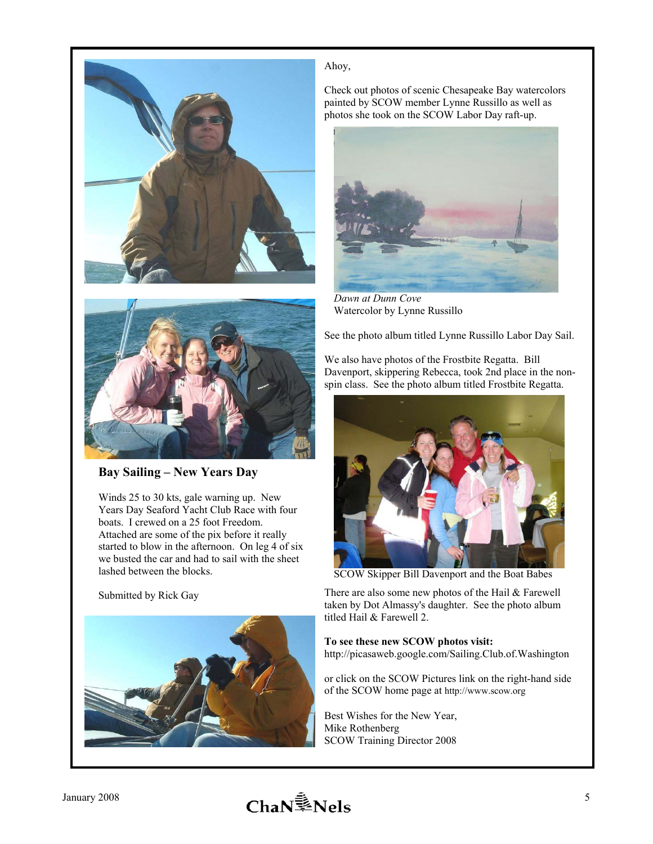



**Bay Sailing – New Years Day** 

Winds 25 to 30 kts, gale warning up. New Years Day Seaford Yacht Club Race with four boats. I crewed on a 25 foot Freedom. Attached are some of the pix before it really started to blow in the afternoon. On leg 4 of six we busted the car and had to sail with the sheet lashed between the blocks.



#### Ahoy,

Check out photos of scenic Chesapeake Bay watercolors painted by SCOW member Lynne Russillo as well as photos she took on the SCOW Labor Day raft-up.



*Dawn at Dunn Cove*  Watercolor by Lynne Russillo

See the photo album titled Lynne Russillo Labor Day Sail.

We also have photos of the Frostbite Regatta. Bill Davenport, skippering Rebecca, took 2nd place in the nonspin class. See the photo album titled Frostbite Regatta.



SCOW Skipper Bill Davenport and the Boat Babes

There are also some new photos of the Hail & Farewell taken by Dot Almassy's daughter. See the photo album titled Hail & Farewell 2.

#### **To see these new SCOW photos visit:**

http://picasaweb.google.com/Sailing.Club.of.Washington

or click on the SCOW Pictures link on the right-hand side of the SCOW home page at http://www.scow.org

Best Wishes for the New Year, Mike Rothenberg SCOW Training Director 2008